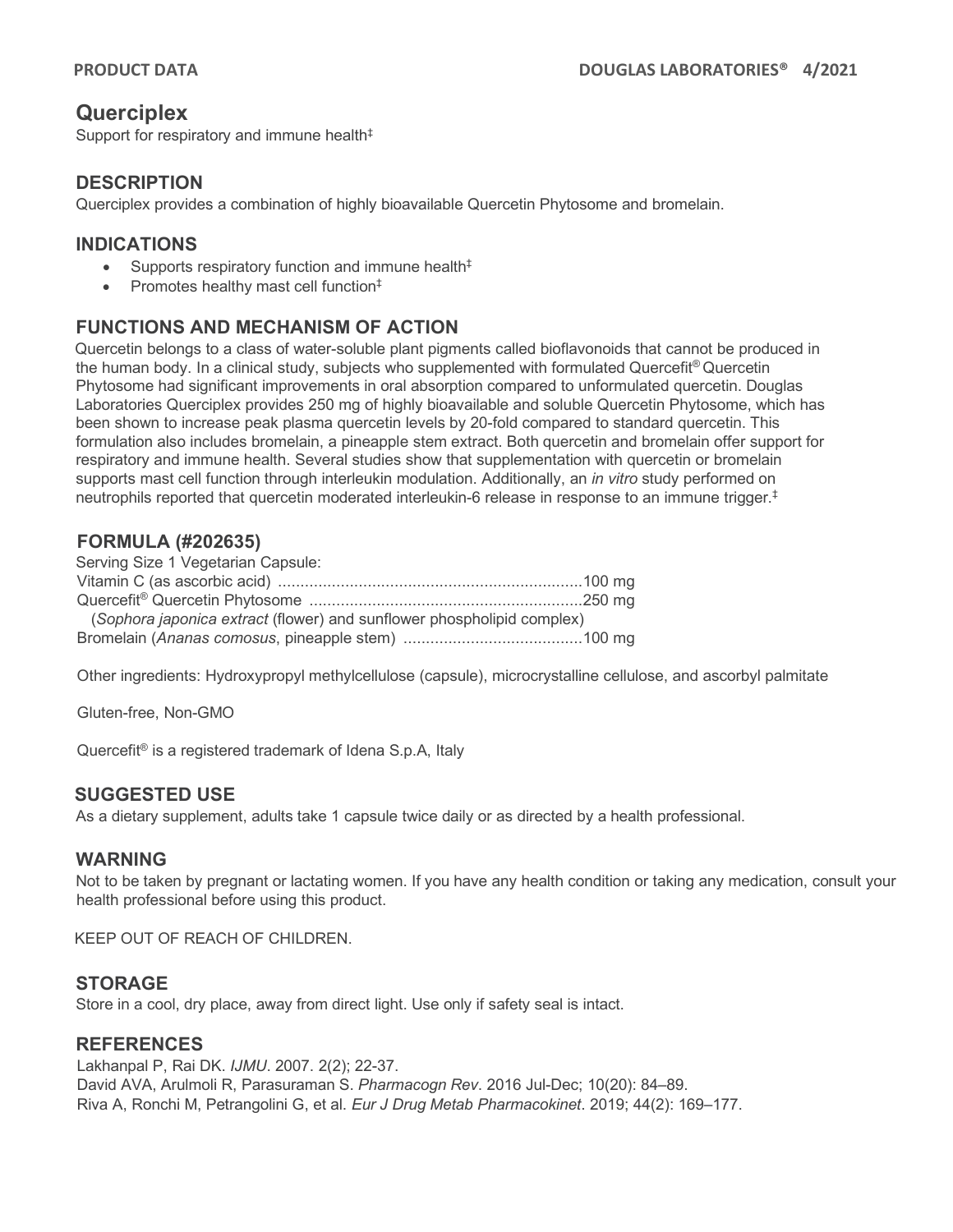# **Querciplex**

Support for respiratory and immune health<sup>‡</sup>

### **DESCRIPTION**

Querciplex provides a combination of highly bioavailable Quercetin Phytosome and bromelain.

## **INDICATIONS**

- Supports respiratory function and immune health $<sup>‡</sup>$ </sup>
- Promotes healthy mast cell function<sup>‡</sup>

## **FUNCTIONS AND MECHANISM OF ACTION**

Quercetin belongs to a class of water-soluble plant pigments called bioflavonoids that cannot be produced in the human body. In a clinical study, subjects who supplemented with formulated Quercefit® Quercetin Phytosome had significant improvements in oral absorption compared to unformulated quercetin. Douglas Laboratories Querciplex provides 250 mg of highly bioavailable and soluble Quercetin Phytosome, which has been shown to increase peak plasma quercetin levels by 20-fold compared to standard quercetin. This formulation also includes bromelain, a pineapple stem extract. Both quercetin and bromelain offer support for respiratory and immune health. Several studies show that supplementation with quercetin or bromelain supports mast cell function through interleukin modulation. Additionally, an *in vitro* study performed on neutrophils reported that quercetin moderated interleukin-6 release in response to an immune trigger. ‡

## **FORMULA (#202635)**

| Serving Size 1 Vegetarian Capsule:                                     |  |
|------------------------------------------------------------------------|--|
|                                                                        |  |
|                                                                        |  |
| (Sophora japonica extract (flower) and sunflower phospholipid complex) |  |
|                                                                        |  |

Other ingredients: Hydroxypropyl methylcellulose (capsule), microcrystalline cellulose, and ascorbyl palmitate

Gluten-free, Non-GMO

Quercefit® is a registered trademark of Idena S.p.A, Italy

### **SUGGESTED USE**

As a dietary supplement, adults take 1 capsule twice daily or as directed by a health professional.

### **WARNING**

Not to be taken by pregnant or lactating women. If you have any health condition or taking any medication, consult your health professional before using this product.

KEEP OUT OF REACH OF CHILDREN.

### **STORAGE**

Store in a cool, dry place, away from direct light. Use only if safety seal is intact.

### **REFERENCES**

Lakhanpal P, Rai DK. *IJMU*. 2007. 2(2); 22-37. David AVA, Arulmoli R, Parasuraman S. *Pharmacogn Rev*. 2016 Jul-Dec; 10(20): 84–89. Riva A, Ronchi M, Petrangolini G, et al. *Eur J Drug Metab Pharmacokinet*. 2019; 44(2): 169–177.